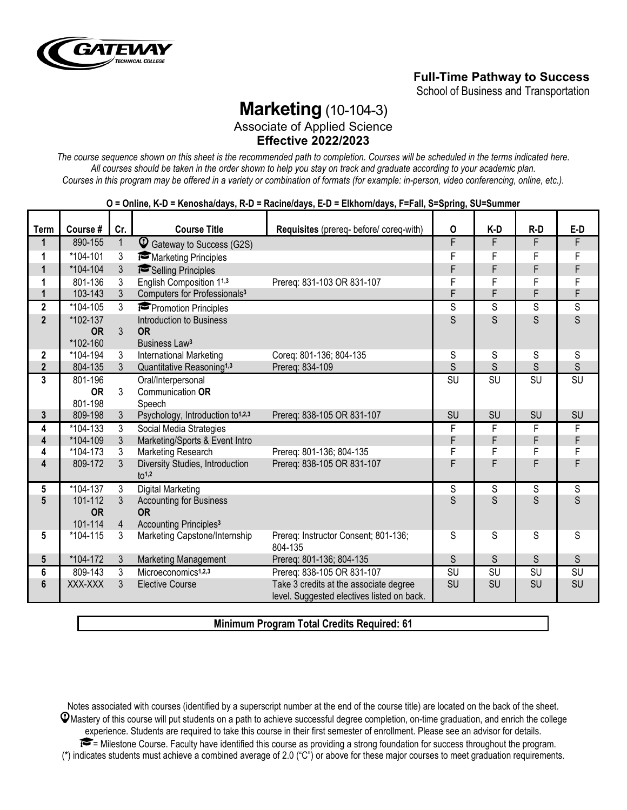

## **Full-Time Pathway to Success**

School of Business and Transportation

# **Marketing** (10-104-3)

Associate of Applied Science **Effective 2022/2023**

*The course sequence shown on this sheet is the recommended path to completion. Courses will be scheduled in the terms indicated here. All courses should be taken in the order shown to help you stay on track and graduate according to your academic plan. Courses in this program may be offered in a variety or combination of formats (for example: in-person, video conferencing, online, etc.).*

|                         |                      |                |                                                        | 0 - Vinnie, R-D - Renosnaruays, R-D - Racineruays, L-D - Likhornruays, T -i an, O-Opring, OO-Ouninier |             |                |       |                |
|-------------------------|----------------------|----------------|--------------------------------------------------------|-------------------------------------------------------------------------------------------------------|-------------|----------------|-------|----------------|
| <b>Term</b>             | Course #             | Cr.            | <b>Course Title</b>                                    | Requisites (prereq- before/ coreq-with)                                                               | $\mathsf O$ | K-D            | $R-D$ | $E-D$          |
| $\mathbf{1}$            | 890-155              | $\mathbf{1}$   | $\mathbb Q$<br>Gateway to Success (G2S)                |                                                                                                       | F           | F              | F     | F              |
| 1                       | *104-101             | 3              | Marketing Principles                                   |                                                                                                       | F           | F              | F     | F              |
| $\mathbf{1}$            | *104-104             | 3              | Selling Principles                                     |                                                                                                       | F           | F              | F     | F              |
| 1                       | 801-136              | 3              | English Composition 11,3                               | Prereg: 831-103 OR 831-107                                                                            | F           | F              | F     | F              |
| $\mathbf{1}$            | 103-143              | 3              | Computers for Professionals <sup>3</sup>               |                                                                                                       | F           | F              | F     | F              |
| $\overline{\mathbf{2}}$ | *104-105             | 3              | Promotion Principles                                   |                                                                                                       | S           | $\overline{s}$ | S     | $\overline{s}$ |
| $\overline{2}$          | *102-137             |                | Introduction to Business                               |                                                                                                       | S           | S              | S     | $\mathsf{S}$   |
|                         | <b>OR</b>            | 3              | <b>OR</b>                                              |                                                                                                       |             |                |       |                |
|                         | *102-160             |                | Business Law <sup>3</sup>                              |                                                                                                       |             |                |       |                |
| $\mathbf{2}$            | *104-194             | $\mathfrak{Z}$ | International Marketing                                | Coreg: 801-136; 804-135                                                                               | S           | S              | S     | S              |
| $\overline{\mathbf{2}}$ | 804-135              | $\mathfrak{Z}$ | Quantitative Reasoning <sup>1,3</sup>                  | Prereq: 834-109                                                                                       | S           | S              | S     | S              |
| $\overline{3}$          | 801-196              |                | Oral/Interpersonal                                     |                                                                                                       | SU          | SU             | SU    | SU             |
|                         | <b>OR</b><br>801-198 | 3              | Communication OR                                       |                                                                                                       |             |                |       |                |
| $\mathbf{3}$            | 809-198              | $\mathfrak{Z}$ | Speech<br>Psychology, Introduction to <sup>1,2,3</sup> | Prereg: 838-105 OR 831-107                                                                            | SU          | SU             | SU    | SU             |
| 4                       | $*104-133$           | 3              | Social Media Strategies                                |                                                                                                       | F           | F              | F     | F              |
| $\overline{\mathbf{4}}$ | *104-109             | 3              | Marketing/Sports & Event Intro                         |                                                                                                       | F           | F              | F     | F              |
| 4                       | *104-173             | $\mathfrak{Z}$ | Marketing Research                                     | Prereq: 801-136; 804-135                                                                              | F           | F              | F     | $\overline{F}$ |
| $\overline{\mathbf{4}}$ | 809-172              | 3              | Diversity Studies, Introduction                        | Prereq: 838-105 OR 831-107                                                                            | F           | F              | F     | F              |
|                         |                      |                | 10 <sup>1,2</sup>                                      |                                                                                                       |             |                |       |                |
| 5                       | *104-137             | 3              | <b>Digital Marketing</b>                               |                                                                                                       | S           | S              | S     | S              |
| $5\phantom{.0}$         | 101-112              | 3              | <b>Accounting for Business</b>                         |                                                                                                       | S           | S              | S     | S              |
|                         | <b>OR</b>            |                | <b>OR</b>                                              |                                                                                                       |             |                |       |                |
|                         | 101-114              | $\overline{4}$ | Accounting Principles <sup>3</sup>                     |                                                                                                       |             |                |       |                |
| 5                       | *104-115             | 3              | Marketing Capstone/Internship                          | Prereq: Instructor Consent; 801-136;<br>804-135                                                       | S           | S              | S     | S              |
| $5\phantom{.0}$         | *104-172             | 3              | Marketing Management                                   | Prereq: 801-136; 804-135                                                                              | S           | S              | S     | S              |
| 6                       | 809-143              | 3              | Microeconomics <sup>1,2,3</sup>                        | Prereg: 838-105 OR 831-107                                                                            | SU          | SU             | SU    | SU             |
| $6\phantom{1}$          | XXX-XXX              | $\mathfrak{Z}$ | <b>Elective Course</b>                                 | Take 3 credits at the associate degree<br>level. Suggested electives listed on back.                  | SU          | SU             | SU    | SU             |

**O = Online, K-D = Kenosha/days, R-D = Racine/days, E-D = Elkhorn/days, F=Fall, S=Spring, SU=Summer**

**Minimum Program Total Credits Required: 61**

Notes associated with courses (identified by a superscript number at the end of the course title) are located on the back of the sheet.  $\mathcal Q$ Mastery of this course will put students on a path to achieve successful degree completion, on-time graduation, and enrich the college experience. Students are required to take this course in their first semester of enrollment. Please see an advisor for details. = Milestone Course. Faculty have identified this course as providing a strong foundation for success throughout the program. (\*) indicates students must achieve a combined average of 2.0 ("C") or above for these major courses to meet graduation requirements.